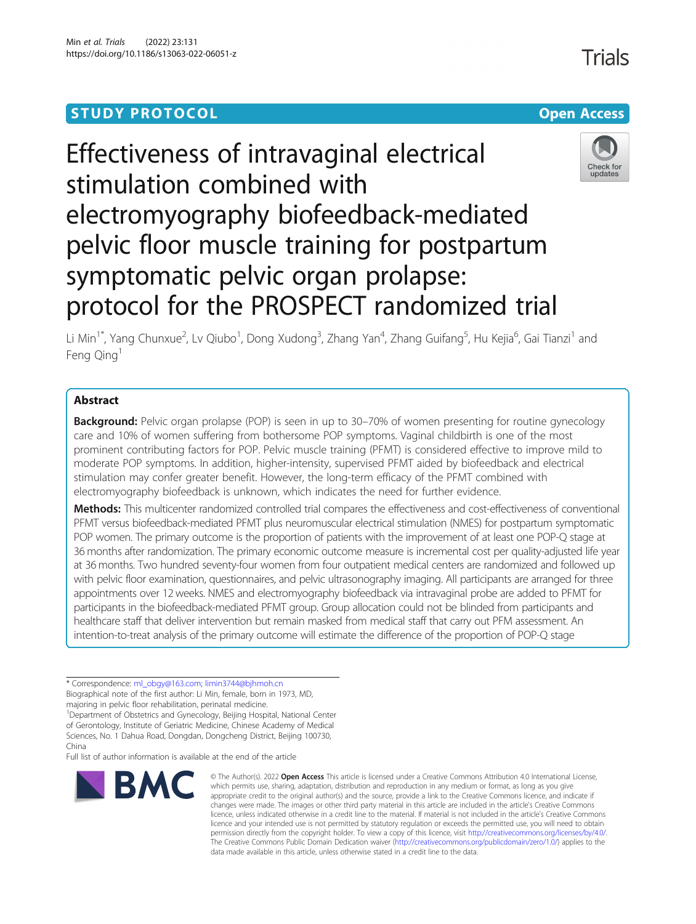# **STUDY PROTOCOL CONSUMING THE RESERVE ACCESS**

# Effectiveness of intravaginal electrical stimulation combined with electromyography biofeedback-mediated pelvic floor muscle training for postpartum symptomatic pelvic organ prolapse: protocol for the PROSPECT randomized trial



Li Min<sup>1\*</sup>, Yang Chunxue<sup>2</sup>, Lv Qiubo<sup>1</sup>, Dong Xudong<sup>3</sup>, Zhang Yan<sup>4</sup>, Zhang Guifang<sup>5</sup>, Hu Kejia<sup>6</sup>, Gai Tianzi<sup>1</sup> and Feng Qing<sup>1</sup>

# Abstract

**Background:** Pelvic organ prolapse (POP) is seen in up to 30–70% of women presenting for routine gynecology care and 10% of women suffering from bothersome POP symptoms. Vaginal childbirth is one of the most prominent contributing factors for POP. Pelvic muscle training (PFMT) is considered effective to improve mild to moderate POP symptoms. In addition, higher-intensity, supervised PFMT aided by biofeedback and electrical stimulation may confer greater benefit. However, the long-term efficacy of the PFMT combined with electromyography biofeedback is unknown, which indicates the need for further evidence.

Methods: This multicenter randomized controlled trial compares the effectiveness and cost-effectiveness of conventional PFMT versus biofeedback-mediated PFMT plus neuromuscular electrical stimulation (NMES) for postpartum symptomatic POP women. The primary outcome is the proportion of patients with the improvement of at least one POP-Q stage at 36 months after randomization. The primary economic outcome measure is incremental cost per quality-adjusted life year at 36 months. Two hundred seventy-four women from four outpatient medical centers are randomized and followed up with pelvic floor examination, questionnaires, and pelvic ultrasonography imaging. All participants are arranged for three appointments over 12 weeks. NMES and electromyography biofeedback via intravaginal probe are added to PFMT for participants in the biofeedback-mediated PFMT group. Group allocation could not be blinded from participants and healthcare staff that deliver intervention but remain masked from medical staff that carry out PFM assessment. An intention-to-treat analysis of the primary outcome will estimate the difference of the proportion of POP-Q stage

\* Correspondence: [ml\\_obgy@163.com](mailto:ml_obgy@163.com); [limin3744@bjhmoh.cn](mailto:limin3744@bjhmoh.cn)

Biographical note of the first author: Li Min, female, born in 1973, MD,

majoring in pelvic floor rehabilitation, perinatal medicine.

<sup>1</sup>Department of Obstetrics and Gynecology, Beijing Hospital, National Center of Gerontology, Institute of Geriatric Medicine, Chinese Academy of Medical

Sciences, No. 1 Dahua Road, Dongdan, Dongcheng District, Beijing 100730,

China Full list of author information is available at the end of the article



© The Author(s), 2022 **Open Access** This article is licensed under a Creative Commons Attribution 4.0 International License, which permits use, sharing, adaptation, distribution and reproduction in any medium or format, as long as you give appropriate credit to the original author(s) and the source, provide a link to the Creative Commons licence, and indicate if changes were made. The images or other third party material in this article are included in the article's Creative Commons licence, unless indicated otherwise in a credit line to the material. If material is not included in the article's Creative Commons licence and your intended use is not permitted by statutory regulation or exceeds the permitted use, you will need to obtain permission directly from the copyright holder. To view a copy of this licence, visit [http://creativecommons.org/licenses/by/4.0/.](http://creativecommons.org/licenses/by/4.0/) The Creative Commons Public Domain Dedication waiver [\(http://creativecommons.org/publicdomain/zero/1.0/](http://creativecommons.org/publicdomain/zero/1.0/)) applies to the data made available in this article, unless otherwise stated in a credit line to the data.

**Trials**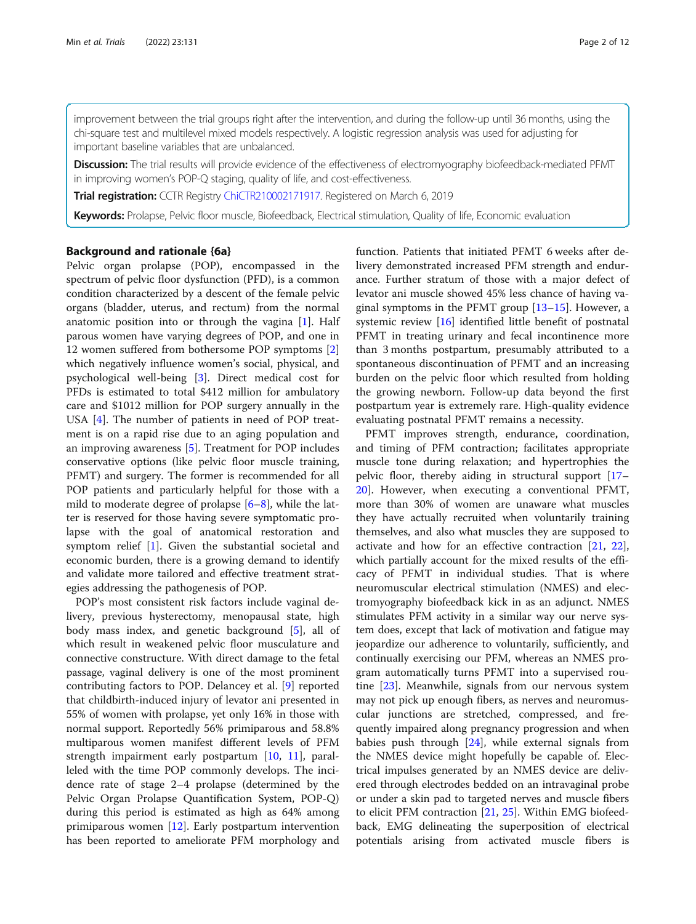improvement between the trial groups right after the intervention, and during the follow-up until 36 months, using the chi-square test and multilevel mixed models respectively. A logistic regression analysis was used for adjusting for important baseline variables that are unbalanced.

Discussion: The trial results will provide evidence of the effectiveness of electromyography biofeedback-mediated PFMT in improving women's POP-Q staging, quality of life, and cost-effectiveness.

Trial registration: CCTR Registry [ChiCTR210002171917](http://www.chictr.org.cn). Registered on March 6, 2019

Keywords: Prolapse, Pelvic floor muscle, Biofeedback, Electrical stimulation, Quality of life, Economic evaluation

#### Background and rationale {6a}

Pelvic organ prolapse (POP), encompassed in the spectrum of pelvic floor dysfunction (PFD), is a common condition characterized by a descent of the female pelvic organs (bladder, uterus, and rectum) from the normal anatomic position into or through the vagina [\[1](#page-10-0)]. Half parous women have varying degrees of POP, and one in 12 women suffered from bothersome POP symptoms [\[2](#page-10-0)] which negatively influence women's social, physical, and psychological well-being [\[3](#page-10-0)]. Direct medical cost for PFDs is estimated to total \$412 million for ambulatory care and \$1012 million for POP surgery annually in the USA [[4\]](#page-10-0). The number of patients in need of POP treatment is on a rapid rise due to an aging population and an improving awareness [\[5](#page-10-0)]. Treatment for POP includes conservative options (like pelvic floor muscle training, PFMT) and surgery. The former is recommended for all POP patients and particularly helpful for those with a mild to moderate degree of prolapse [\[6](#page-10-0)–[8](#page-11-0)], while the latter is reserved for those having severe symptomatic prolapse with the goal of anatomical restoration and symptom relief [[1\]](#page-10-0). Given the substantial societal and economic burden, there is a growing demand to identify and validate more tailored and effective treatment strategies addressing the pathogenesis of POP.

POP's most consistent risk factors include vaginal delivery, previous hysterectomy, menopausal state, high body mass index, and genetic background [\[5](#page-10-0)], all of which result in weakened pelvic floor musculature and connective constructure. With direct damage to the fetal passage, vaginal delivery is one of the most prominent contributing factors to POP. Delancey et al. [\[9](#page-11-0)] reported that childbirth-induced injury of levator ani presented in 55% of women with prolapse, yet only 16% in those with normal support. Reportedly 56% primiparous and 58.8% multiparous women manifest different levels of PFM strength impairment early postpartum [\[10,](#page-11-0) [11](#page-11-0)], paralleled with the time POP commonly develops. The incidence rate of stage 2–4 prolapse (determined by the Pelvic Organ Prolapse Quantification System, POP-Q) during this period is estimated as high as 64% among primiparous women [[12\]](#page-11-0). Early postpartum intervention has been reported to ameliorate PFM morphology and function. Patients that initiated PFMT 6 weeks after delivery demonstrated increased PFM strength and endurance. Further stratum of those with a major defect of levator ani muscle showed 45% less chance of having vaginal symptoms in the PFMT group [[13](#page-11-0)–[15](#page-11-0)]. However, a systemic review [[16](#page-11-0)] identified little benefit of postnatal PFMT in treating urinary and fecal incontinence more than 3 months postpartum, presumably attributed to a spontaneous discontinuation of PFMT and an increasing burden on the pelvic floor which resulted from holding the growing newborn. Follow-up data beyond the first postpartum year is extremely rare. High-quality evidence evaluating postnatal PFMT remains a necessity.

PFMT improves strength, endurance, coordination, and timing of PFM contraction; facilitates appropriate muscle tone during relaxation; and hypertrophies the pelvic floor, thereby aiding in structural support [[17](#page-11-0)– [20\]](#page-11-0). However, when executing a conventional PFMT, more than 30% of women are unaware what muscles they have actually recruited when voluntarily training themselves, and also what muscles they are supposed to activate and how for an effective contraction  $[21, 22]$  $[21, 22]$  $[21, 22]$  $[21, 22]$  $[21, 22]$ , which partially account for the mixed results of the efficacy of PFMT in individual studies. That is where neuromuscular electrical stimulation (NMES) and electromyography biofeedback kick in as an adjunct. NMES stimulates PFM activity in a similar way our nerve system does, except that lack of motivation and fatigue may jeopardize our adherence to voluntarily, sufficiently, and continually exercising our PFM, whereas an NMES program automatically turns PFMT into a supervised routine [[23\]](#page-11-0). Meanwhile, signals from our nervous system may not pick up enough fibers, as nerves and neuromuscular junctions are stretched, compressed, and frequently impaired along pregnancy progression and when babies push through [\[24\]](#page-11-0), while external signals from the NMES device might hopefully be capable of. Electrical impulses generated by an NMES device are delivered through electrodes bedded on an intravaginal probe or under a skin pad to targeted nerves and muscle fibers to elicit PFM contraction [[21,](#page-11-0) [25\]](#page-11-0). Within EMG biofeedback, EMG delineating the superposition of electrical potentials arising from activated muscle fibers is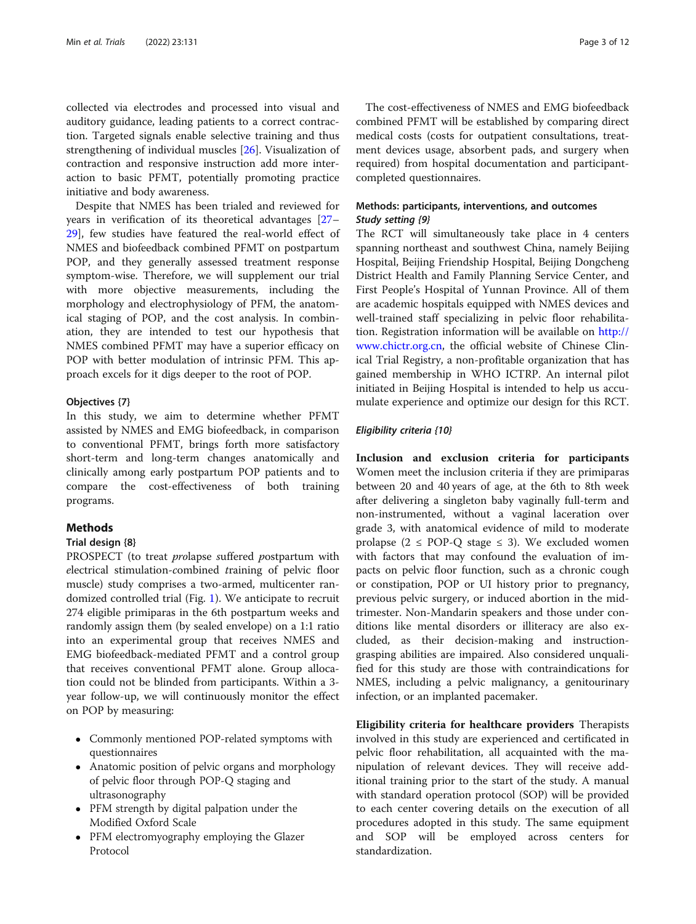collected via electrodes and processed into visual and auditory guidance, leading patients to a correct contraction. Targeted signals enable selective training and thus strengthening of individual muscles [[26](#page-11-0)]. Visualization of contraction and responsive instruction add more interaction to basic PFMT, potentially promoting practice initiative and body awareness.

Despite that NMES has been trialed and reviewed for years in verification of its theoretical advantages [[27](#page-11-0)– [29\]](#page-11-0), few studies have featured the real-world effect of NMES and biofeedback combined PFMT on postpartum POP, and they generally assessed treatment response symptom-wise. Therefore, we will supplement our trial with more objective measurements, including the morphology and electrophysiology of PFM, the anatomical staging of POP, and the cost analysis. In combination, they are intended to test our hypothesis that NMES combined PFMT may have a superior efficacy on POP with better modulation of intrinsic PFM. This approach excels for it digs deeper to the root of POP.

#### Objectives {7}

In this study, we aim to determine whether PFMT assisted by NMES and EMG biofeedback, in comparison to conventional PFMT, brings forth more satisfactory short-term and long-term changes anatomically and clinically among early postpartum POP patients and to compare the cost-effectiveness of both training programs.

# Methods

#### Trial design {8}

PROSPECT (to treat prolapse suffered postpartum with electrical stimulation-combined training of pelvic floor muscle) study comprises a two-armed, multicenter randomized controlled trial (Fig. [1](#page-3-0)). We anticipate to recruit 274 eligible primiparas in the 6th postpartum weeks and randomly assign them (by sealed envelope) on a 1:1 ratio into an experimental group that receives NMES and EMG biofeedback-mediated PFMT and a control group that receives conventional PFMT alone. Group allocation could not be blinded from participants. Within a 3 year follow-up, we will continuously monitor the effect on POP by measuring:

- Commonly mentioned POP-related symptoms with questionnaires
- Anatomic position of pelvic organs and morphology of pelvic floor through POP-Q staging and ultrasonography
- PFM strength by digital palpation under the Modified Oxford Scale
- PFM electromyography employing the Glazer Protocol

The cost-effectiveness of NMES and EMG biofeedback combined PFMT will be established by comparing direct medical costs (costs for outpatient consultations, treatment devices usage, absorbent pads, and surgery when required) from hospital documentation and participantcompleted questionnaires.

# Methods: participants, interventions, and outcomes Study setting {9}

The RCT will simultaneously take place in 4 centers spanning northeast and southwest China, namely Beijing Hospital, Beijing Friendship Hospital, Beijing Dongcheng District Health and Family Planning Service Center, and First People's Hospital of Yunnan Province. All of them are academic hospitals equipped with NMES devices and well-trained staff specializing in pelvic floor rehabilitation. Registration information will be available on [http://](http://www.chictr.org.cn) [www.chictr.org.cn,](http://www.chictr.org.cn) the official website of Chinese Clinical Trial Registry, a non-profitable organization that has gained membership in WHO ICTRP. An internal pilot initiated in Beijing Hospital is intended to help us accumulate experience and optimize our design for this RCT.

#### Eligibility criteria {10}

Inclusion and exclusion criteria for participants Women meet the inclusion criteria if they are primiparas between 20 and 40 years of age, at the 6th to 8th week after delivering a singleton baby vaginally full-term and non-instrumented, without a vaginal laceration over grade 3, with anatomical evidence of mild to moderate prolapse ( $2 \leq POP-Q$  stage  $\leq 3$ ). We excluded women with factors that may confound the evaluation of impacts on pelvic floor function, such as a chronic cough or constipation, POP or UI history prior to pregnancy, previous pelvic surgery, or induced abortion in the midtrimester. Non-Mandarin speakers and those under conditions like mental disorders or illiteracy are also excluded, as their decision-making and instructiongrasping abilities are impaired. Also considered unqualified for this study are those with contraindications for NMES, including a pelvic malignancy, a genitourinary infection, or an implanted pacemaker.

Eligibility criteria for healthcare providers Therapists involved in this study are experienced and certificated in pelvic floor rehabilitation, all acquainted with the manipulation of relevant devices. They will receive additional training prior to the start of the study. A manual with standard operation protocol (SOP) will be provided to each center covering details on the execution of all procedures adopted in this study. The same equipment and SOP will be employed across centers for standardization.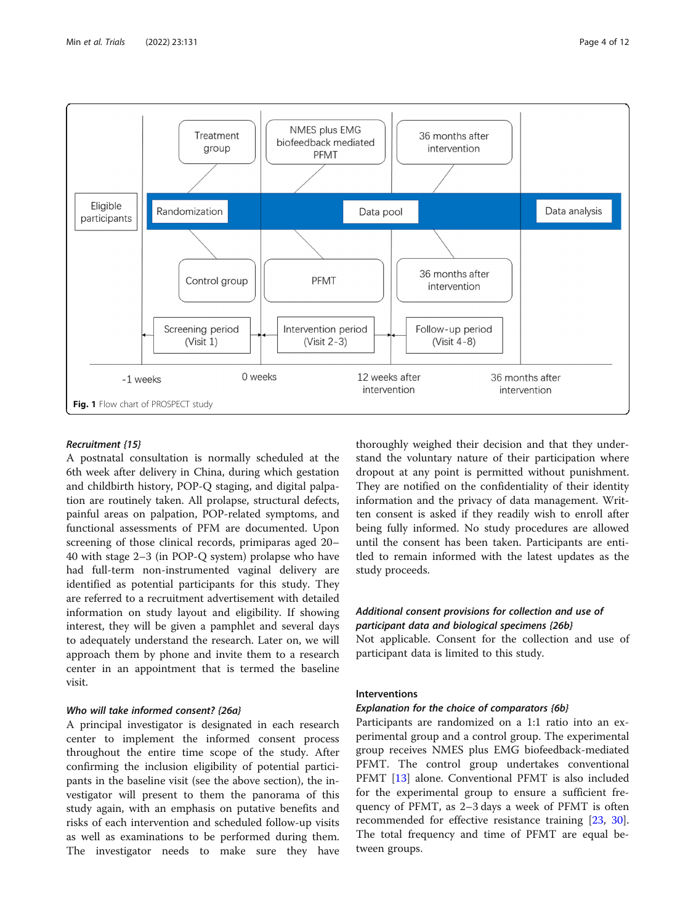<span id="page-3-0"></span>

#### Recruitment {15}

A postnatal consultation is normally scheduled at the 6th week after delivery in China, during which gestation and childbirth history, POP-Q staging, and digital palpation are routinely taken. All prolapse, structural defects, painful areas on palpation, POP-related symptoms, and functional assessments of PFM are documented. Upon screening of those clinical records, primiparas aged 20– 40 with stage 2–3 (in POP-Q system) prolapse who have had full-term non-instrumented vaginal delivery are identified as potential participants for this study. They are referred to a recruitment advertisement with detailed information on study layout and eligibility. If showing interest, they will be given a pamphlet and several days to adequately understand the research. Later on, we will approach them by phone and invite them to a research center in an appointment that is termed the baseline visit.

#### Who will take informed consent? {26a}

A principal investigator is designated in each research center to implement the informed consent process throughout the entire time scope of the study. After confirming the inclusion eligibility of potential participants in the baseline visit (see the above section), the investigator will present to them the panorama of this study again, with an emphasis on putative benefits and risks of each intervention and scheduled follow-up visits as well as examinations to be performed during them. The investigator needs to make sure they have thoroughly weighed their decision and that they understand the voluntary nature of their participation where dropout at any point is permitted without punishment. They are notified on the confidentiality of their identity information and the privacy of data management. Written consent is asked if they readily wish to enroll after being fully informed. No study procedures are allowed until the consent has been taken. Participants are entitled to remain informed with the latest updates as the study proceeds.

# Additional consent provisions for collection and use of participant data and biological specimens {26b}

Not applicable. Consent for the collection and use of participant data is limited to this study.

# Interventions

# Explanation for the choice of comparators {6b}

Participants are randomized on a 1:1 ratio into an experimental group and a control group. The experimental group receives NMES plus EMG biofeedback-mediated PFMT. The control group undertakes conventional PFMT [\[13](#page-11-0)] alone. Conventional PFMT is also included for the experimental group to ensure a sufficient frequency of PFMT, as 2–3 days a week of PFMT is often recommended for effective resistance training [[23,](#page-11-0) [30](#page-11-0)]. The total frequency and time of PFMT are equal between groups.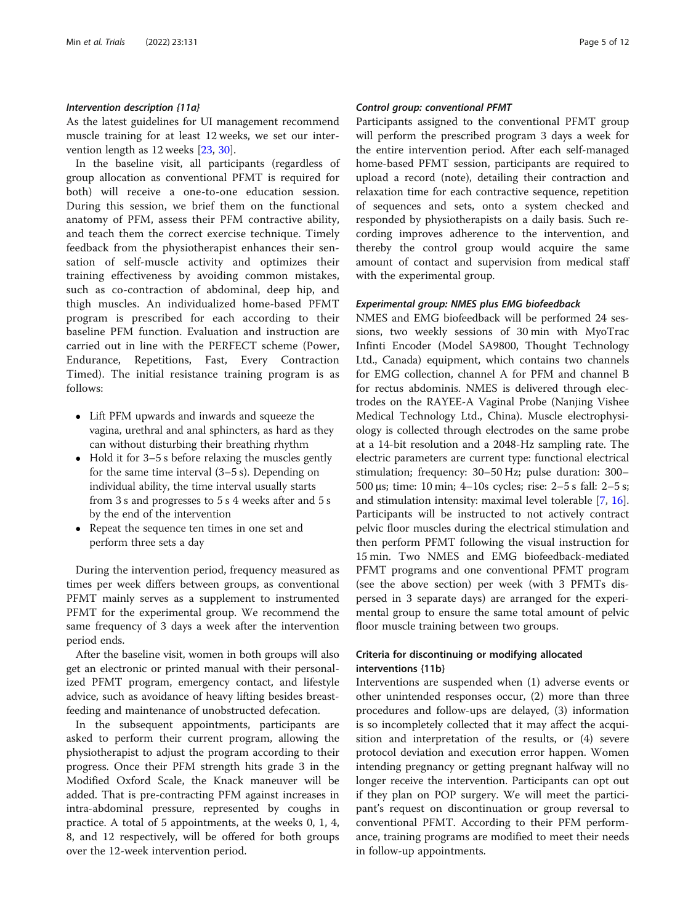#### Intervention description {11a}

As the latest guidelines for UI management recommend muscle training for at least 12 weeks, we set our intervention length as 12 weeks [\[23,](#page-11-0) [30\]](#page-11-0).

In the baseline visit, all participants (regardless of group allocation as conventional PFMT is required for both) will receive a one-to-one education session. During this session, we brief them on the functional anatomy of PFM, assess their PFM contractive ability, and teach them the correct exercise technique. Timely feedback from the physiotherapist enhances their sensation of self-muscle activity and optimizes their training effectiveness by avoiding common mistakes, such as co-contraction of abdominal, deep hip, and thigh muscles. An individualized home-based PFMT program is prescribed for each according to their baseline PFM function. Evaluation and instruction are carried out in line with the PERFECT scheme (Power, Endurance, Repetitions, Fast, Every Contraction Timed). The initial resistance training program is as follows:

- Lift PFM upwards and inwards and squeeze the vagina, urethral and anal sphincters, as hard as they can without disturbing their breathing rhythm
- Hold it for 3–5 s before relaxing the muscles gently for the same time interval (3–5 s). Depending on individual ability, the time interval usually starts from 3 s and progresses to 5 s 4 weeks after and 5 s by the end of the intervention
- Repeat the sequence ten times in one set and perform three sets a day

During the intervention period, frequency measured as times per week differs between groups, as conventional PFMT mainly serves as a supplement to instrumented PFMT for the experimental group. We recommend the same frequency of 3 days a week after the intervention period ends.

After the baseline visit, women in both groups will also get an electronic or printed manual with their personalized PFMT program, emergency contact, and lifestyle advice, such as avoidance of heavy lifting besides breastfeeding and maintenance of unobstructed defecation.

In the subsequent appointments, participants are asked to perform their current program, allowing the physiotherapist to adjust the program according to their progress. Once their PFM strength hits grade 3 in the Modified Oxford Scale, the Knack maneuver will be added. That is pre-contracting PFM against increases in intra-abdominal pressure, represented by coughs in practice. A total of 5 appointments, at the weeks 0, 1, 4, 8, and 12 respectively, will be offered for both groups over the 12-week intervention period.

#### Control group: conventional PFMT

Participants assigned to the conventional PFMT group will perform the prescribed program 3 days a week for the entire intervention period. After each self-managed home-based PFMT session, participants are required to upload a record (note), detailing their contraction and relaxation time for each contractive sequence, repetition of sequences and sets, onto a system checked and responded by physiotherapists on a daily basis. Such recording improves adherence to the intervention, and thereby the control group would acquire the same amount of contact and supervision from medical staff with the experimental group.

#### Experimental group: NMES plus EMG biofeedback

NMES and EMG biofeedback will be performed 24 sessions, two weekly sessions of 30 min with MyoTrac Infinti Encoder (Model SA9800, Thought Technology Ltd., Canada) equipment, which contains two channels for EMG collection, channel A for PFM and channel B for rectus abdominis. NMES is delivered through electrodes on the RAYEE-A Vaginal Probe (Nanjing Vishee Medical Technology Ltd., China). Muscle electrophysiology is collected through electrodes on the same probe at a 14-bit resolution and a 2048-Hz sampling rate. The electric parameters are current type: functional electrical stimulation; frequency: 30–50 Hz; pulse duration: 300– 500 μs; time: 10 min; 4–10s cycles; rise: 2–5 s fall: 2–5 s; and stimulation intensity: maximal level tolerable [\[7](#page-10-0), [16](#page-11-0)]. Participants will be instructed to not actively contract pelvic floor muscles during the electrical stimulation and then perform PFMT following the visual instruction for 15 min. Two NMES and EMG biofeedback-mediated PFMT programs and one conventional PFMT program (see the above section) per week (with 3 PFMTs dispersed in 3 separate days) are arranged for the experimental group to ensure the same total amount of pelvic floor muscle training between two groups.

# Criteria for discontinuing or modifying allocated interventions {11b}

Interventions are suspended when (1) adverse events or other unintended responses occur, (2) more than three procedures and follow-ups are delayed, (3) information is so incompletely collected that it may affect the acquisition and interpretation of the results, or (4) severe protocol deviation and execution error happen. Women intending pregnancy or getting pregnant halfway will no longer receive the intervention. Participants can opt out if they plan on POP surgery. We will meet the participant's request on discontinuation or group reversal to conventional PFMT. According to their PFM performance, training programs are modified to meet their needs in follow-up appointments.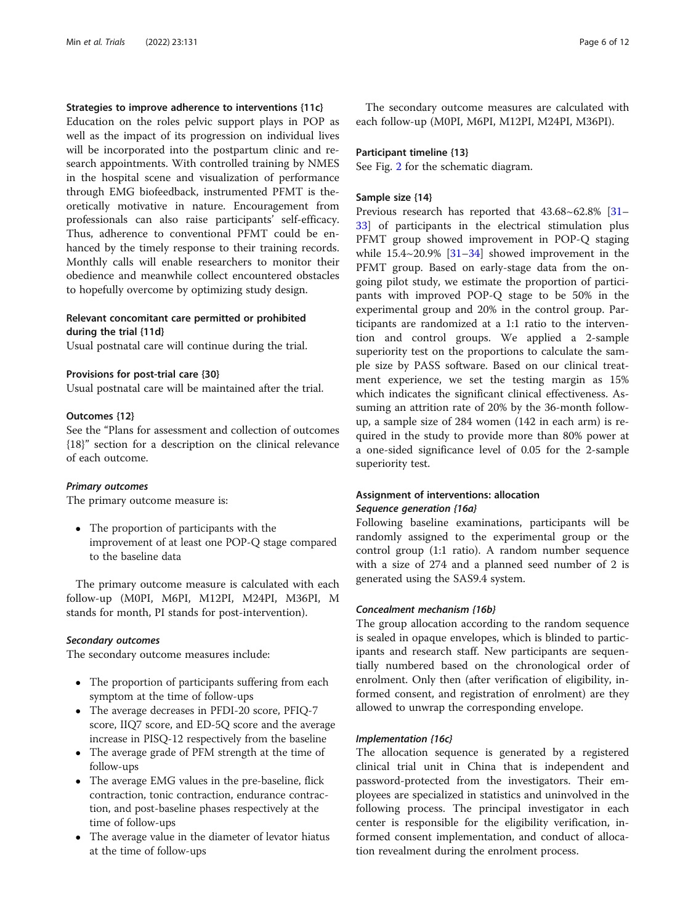# Strategies to improve adherence to interventions {11c}

Education on the roles pelvic support plays in POP as well as the impact of its progression on individual lives will be incorporated into the postpartum clinic and research appointments. With controlled training by NMES in the hospital scene and visualization of performance through EMG biofeedback, instrumented PFMT is theoretically motivative in nature. Encouragement from professionals can also raise participants' self-efficacy. Thus, adherence to conventional PFMT could be enhanced by the timely response to their training records. Monthly calls will enable researchers to monitor their obedience and meanwhile collect encountered obstacles to hopefully overcome by optimizing study design.

# Relevant concomitant care permitted or prohibited during the trial {11d}

Usual postnatal care will continue during the trial.

#### Provisions for post-trial care {30}

Usual postnatal care will be maintained after the trial.

#### Outcomes {12}

See the "Plans for assessment and collection of outcomes {18}" section for a description on the clinical relevance of each outcome.

#### Primary outcomes

The primary outcome measure is:

 The proportion of participants with the improvement of at least one POP-Q stage compared to the baseline data

The primary outcome measure is calculated with each follow-up (M0PI, M6PI, M12PI, M24PI, M36PI, M stands for month, PI stands for post-intervention).

#### Secondary outcomes

The secondary outcome measures include:

- The proportion of participants suffering from each symptom at the time of follow-ups
- The average decreases in PFDI-20 score, PFIQ-7 score, IIQ7 score, and ED-5Q score and the average increase in PISQ-12 respectively from the baseline
- The average grade of PFM strength at the time of follow-ups
- The average EMG values in the pre-baseline, flick contraction, tonic contraction, endurance contraction, and post-baseline phases respectively at the time of follow-ups
- The average value in the diameter of levator hiatus at the time of follow-ups

The secondary outcome measures are calculated with each follow-up (M0PI, M6PI, M12PI, M24PI, M36PI).

#### Participant timeline {13}

See Fig. [2](#page-6-0) for the schematic diagram.

# Sample size {14}

Previous research has reported that  $43.68 \times 62.8\%$  [[31](#page-11-0)– [33\]](#page-11-0) of participants in the electrical stimulation plus PFMT group showed improvement in POP-Q staging while  $15.4 \sim 20.9\%$  [\[31](#page-11-0)–[34\]](#page-11-0) showed improvement in the PFMT group. Based on early-stage data from the ongoing pilot study, we estimate the proportion of participants with improved POP-Q stage to be 50% in the experimental group and 20% in the control group. Participants are randomized at a 1:1 ratio to the intervention and control groups. We applied a 2-sample superiority test on the proportions to calculate the sample size by PASS software. Based on our clinical treatment experience, we set the testing margin as 15% which indicates the significant clinical effectiveness. Assuming an attrition rate of 20% by the 36-month followup, a sample size of 284 women (142 in each arm) is required in the study to provide more than 80% power at a one-sided significance level of 0.05 for the 2-sample superiority test.

# Assignment of interventions: allocation Sequence generation {16a}

Following baseline examinations, participants will be randomly assigned to the experimental group or the control group (1:1 ratio). A random number sequence with a size of 274 and a planned seed number of 2 is generated using the SAS9.4 system.

#### Concealment mechanism {16b}

The group allocation according to the random sequence is sealed in opaque envelopes, which is blinded to participants and research staff. New participants are sequentially numbered based on the chronological order of enrolment. Only then (after verification of eligibility, informed consent, and registration of enrolment) are they allowed to unwrap the corresponding envelope.

#### Implementation {16c}

The allocation sequence is generated by a registered clinical trial unit in China that is independent and password-protected from the investigators. Their employees are specialized in statistics and uninvolved in the following process. The principal investigator in each center is responsible for the eligibility verification, informed consent implementation, and conduct of allocation revealment during the enrolment process.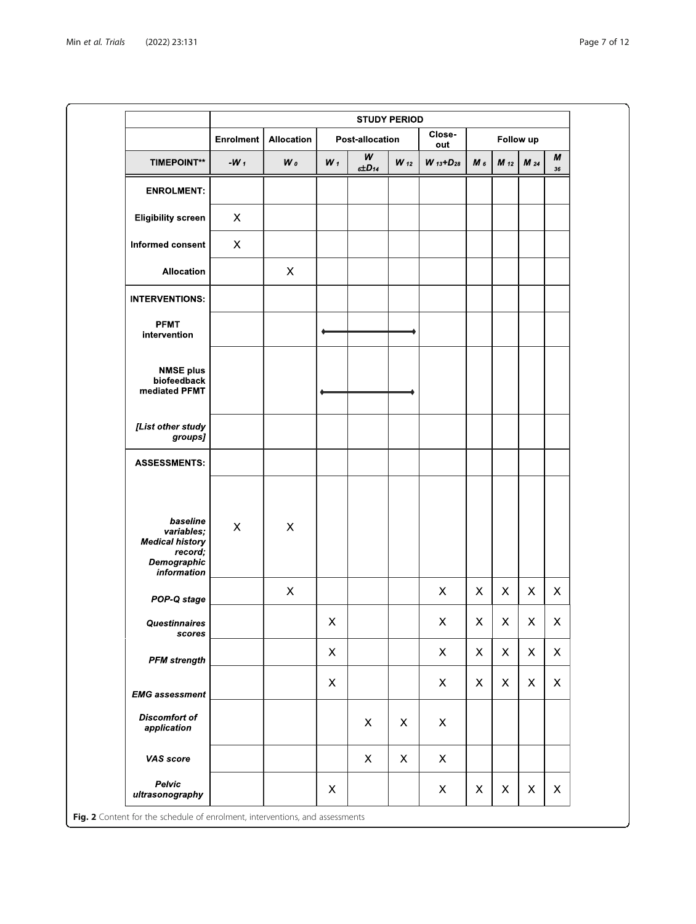<span id="page-6-0"></span>

|                                                                                           | <b>STUDY PERIOD</b>       |                           |                           |                           |                           |                           |                           |                           |              |                           |
|-------------------------------------------------------------------------------------------|---------------------------|---------------------------|---------------------------|---------------------------|---------------------------|---------------------------|---------------------------|---------------------------|--------------|---------------------------|
| <b>TIMEPOINT**</b>                                                                        | Enrolment<br>- $W_1$      | Allocation                | Post allocation           |                           |                           | Close-<br>out             | Follow up                 |                           |              |                           |
|                                                                                           |                           | $W_0$                     | $W_1$                     | w<br>$6\pm D$ 14          | $W_{12}$                  | $W_{13} + D_{28}$         | $M_6$                     | $M_{12}$                  | $M_{24}$     | М<br>${\bf 36}$           |
| <b>ENROLMENT:</b>                                                                         |                           |                           |                           |                           |                           |                           |                           |                           |              |                           |
| <b>Eligibility screen</b>                                                                 | $\boldsymbol{\mathsf{X}}$ |                           |                           |                           |                           |                           |                           |                           |              |                           |
| Informed consent                                                                          | X                         |                           |                           |                           |                           |                           |                           |                           |              |                           |
| <b>Allocation</b>                                                                         |                           | $\boldsymbol{\mathsf{X}}$ |                           |                           |                           |                           |                           |                           |              |                           |
| <b>INTERVENTIONS:</b>                                                                     |                           |                           |                           |                           |                           |                           |                           |                           |              |                           |
| <b>PFMT</b><br>intervention                                                               |                           |                           |                           |                           |                           |                           |                           |                           |              |                           |
| <b>NMSE plus</b><br>biofeedback<br>mediated PFMT                                          |                           |                           |                           |                           |                           |                           |                           |                           |              |                           |
| [List other study<br>groups]                                                              |                           |                           |                           |                           |                           |                           |                           |                           |              |                           |
| <b>ASSESSMENTS:</b>                                                                       |                           |                           |                           |                           |                           |                           |                           |                           |              |                           |
| baseline<br>variables;<br><b>Medical history</b><br>record;<br>Demographic<br>information | $\pmb{\times}$            | X                         |                           |                           |                           |                           |                           |                           |              |                           |
| POP-Q stage                                                                               |                           | $\pmb{\times}$            |                           |                           |                           | $\mathsf{X}$              | X                         | X                         | X            | $\pmb{\times}$            |
| Questinnaires<br>scores                                                                   |                           |                           | X                         |                           |                           | X                         | $\mathsf{X}$              | $\pmb{\times}$            | X            | $\mathsf X$               |
| <b>PFM</b> strength                                                                       |                           |                           | $\boldsymbol{\mathsf{X}}$ |                           |                           | $\mathsf{X}$              | $\mathsf{X}$              | $\boldsymbol{\mathsf{X}}$ | $\mathsf{X}$ | X                         |
| <b>EMG</b> assessment                                                                     |                           |                           | $\boldsymbol{\mathsf{X}}$ |                           |                           | $\mathsf{X}$              | $\mathsf{X}$              | $\mathsf{X}$              | X            | X                         |
| <b>Discomfort of</b><br>application                                                       |                           |                           |                           | $\mathsf{X}$              | $\mathsf{X}$              | X                         |                           |                           |              |                           |
| VAS score                                                                                 |                           |                           |                           | $\boldsymbol{\mathsf{X}}$ | $\boldsymbol{\mathsf{X}}$ | $\boldsymbol{\mathsf{X}}$ |                           |                           |              |                           |
| Pelvic                                                                                    |                           |                           | $\mathsf X$               |                           |                           | $\boldsymbol{\mathsf{X}}$ | $\boldsymbol{\mathsf{X}}$ | X                         | X            | $\boldsymbol{\mathsf{X}}$ |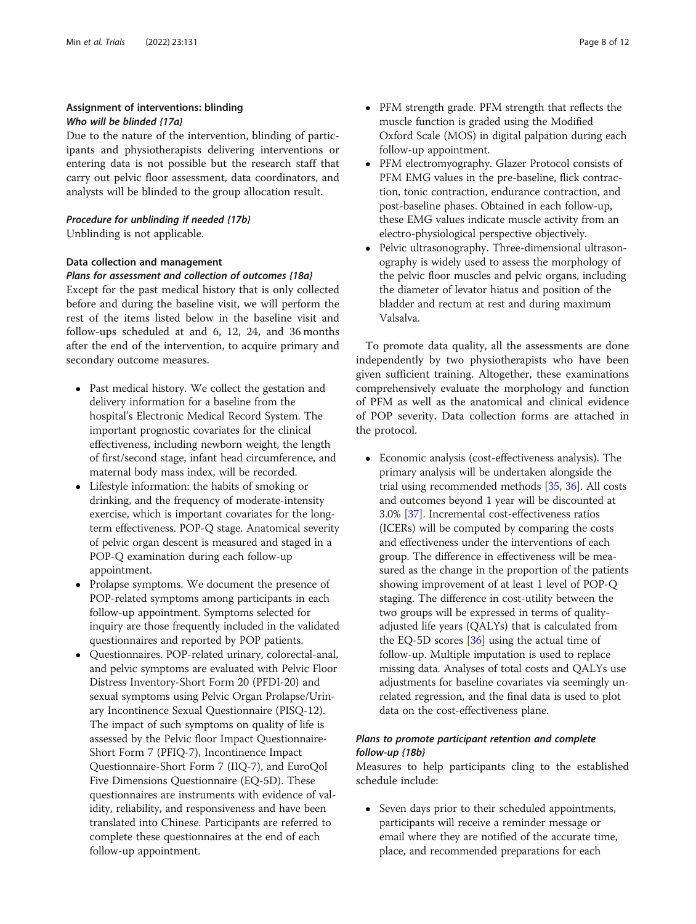# Assignment of interventions: blinding Who will be blinded {17a}

Due to the nature of the intervention, blinding of participants and physiotherapists delivering interventions or entering data is not possible but the research staff that carry out pelvic floor assessment, data coordinators, and analysts will be blinded to the group allocation result.

# Procedure for unblinding if needed {17b}

Unblinding is not applicable.

# Data collection and management

#### Plans for assessment and collection of outcomes {18a}

Except for the past medical history that is only collected before and during the baseline visit, we will perform the rest of the items listed below in the baseline visit and follow-ups scheduled at and 6, 12, 24, and 36 months after the end of the intervention, to acquire primary and secondary outcome measures.

- Past medical history. We collect the gestation and delivery information for a baseline from the hospital's Electronic Medical Record System. The important prognostic covariates for the clinical effectiveness, including newborn weight, the length of first/second stage, infant head circumference, and maternal body mass index, will be recorded.
- Lifestyle information: the habits of smoking or drinking, and the frequency of moderate-intensity exercise, which is important covariates for the longterm effectiveness. POP-Q stage. Anatomical severity of pelvic organ descent is measured and staged in a POP-Q examination during each follow-up appointment.
- Prolapse symptoms. We document the presence of POP-related symptoms among participants in each follow-up appointment. Symptoms selected for inquiry are those frequently included in the validated questionnaires and reported by POP patients.
- Questionnaires. POP-related urinary, colorectal-anal, and pelvic symptoms are evaluated with Pelvic Floor Distress Inventory-Short Form 20 (PFDI-20) and sexual symptoms using Pelvic Organ Prolapse/Urinary Incontinence Sexual Questionnaire (PISQ-12). The impact of such symptoms on quality of life is assessed by the Pelvic floor Impact Questionnaire-Short Form 7 (PFIQ-7), Incontinence Impact Questionnaire-Short Form 7 (IIQ-7), and EuroQol Five Dimensions Questionnaire (EQ-5D). These questionnaires are instruments with evidence of validity, reliability, and responsiveness and have been translated into Chinese. Participants are referred to complete these questionnaires at the end of each follow-up appointment.
- PFM strength grade. PFM strength that reflects the muscle function is graded using the Modified Oxford Scale (MOS) in digital palpation during each follow-up appointment.
- PFM electromyography. Glazer Protocol consists of PFM EMG values in the pre-baseline, flick contraction, tonic contraction, endurance contraction, and post-baseline phases. Obtained in each follow-up, these EMG values indicate muscle activity from an electro-physiological perspective objectively.
- Pelvic ultrasonography. Three-dimensional ultrasonography is widely used to assess the morphology of the pelvic floor muscles and pelvic organs, including the diameter of levator hiatus and position of the bladder and rectum at rest and during maximum Valsalva.

To promote data quality, all the assessments are done independently by two physiotherapists who have been given sufficient training. Altogether, these examinations comprehensively evaluate the morphology and function of PFM as well as the anatomical and clinical evidence of POP severity. Data collection forms are attached in the protocol.

 Economic analysis (cost-effectiveness analysis). The primary analysis will be undertaken alongside the trial using recommended methods [\[35,](#page-11-0) [36\]](#page-11-0). All costs and outcomes beyond 1 year will be discounted at 3.0% [\[37\]](#page-11-0). Incremental cost-effectiveness ratios (ICERs) will be computed by comparing the costs and effectiveness under the interventions of each group. The difference in effectiveness will be measured as the change in the proportion of the patients showing improvement of at least 1 level of POP-Q staging. The difference in cost-utility between the two groups will be expressed in terms of qualityadjusted life years (QALYs) that is calculated from the EQ-5D scores [[36](#page-11-0)] using the actual time of follow-up. Multiple imputation is used to replace missing data. Analyses of total costs and QALYs use adjustments for baseline covariates via seemingly unrelated regression, and the final data is used to plot data on the cost-effectiveness plane.

# Plans to promote participant retention and complete follow-up {18b}

Measures to help participants cling to the established schedule include:

• Seven days prior to their scheduled appointments, participants will receive a reminder message or email where they are notified of the accurate time, place, and recommended preparations for each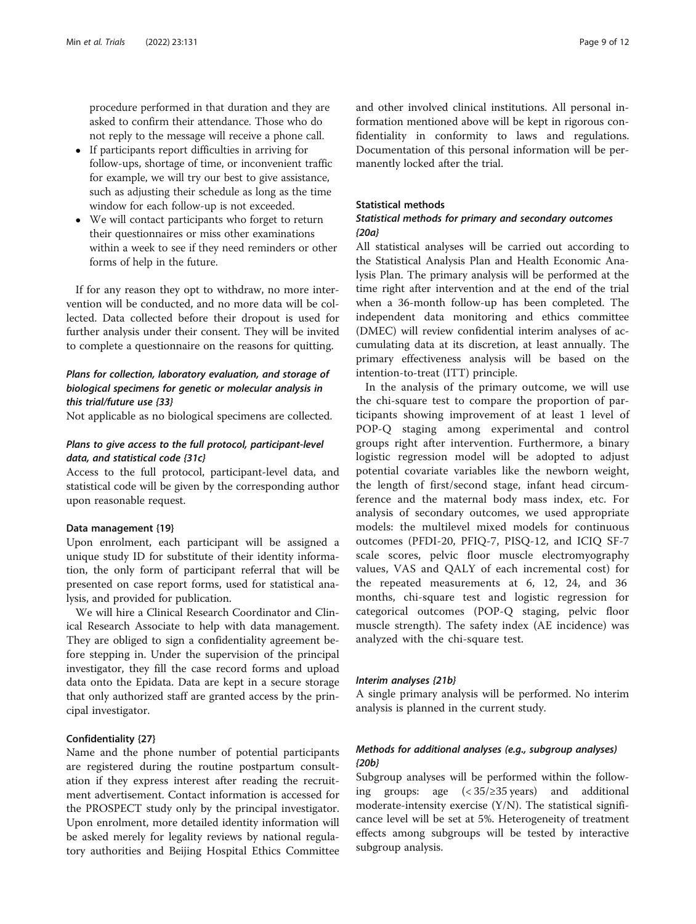procedure performed in that duration and they are asked to confirm their attendance. Those who do not reply to the message will receive a phone call.

- If participants report difficulties in arriving for follow-ups, shortage of time, or inconvenient traffic for example, we will try our best to give assistance, such as adjusting their schedule as long as the time window for each follow-up is not exceeded.
- We will contact participants who forget to return their questionnaires or miss other examinations within a week to see if they need reminders or other forms of help in the future.

If for any reason they opt to withdraw, no more intervention will be conducted, and no more data will be collected. Data collected before their dropout is used for further analysis under their consent. They will be invited to complete a questionnaire on the reasons for quitting.

# Plans for collection, laboratory evaluation, and storage of biological specimens for genetic or molecular analysis in this trial/future use {33}

Not applicable as no biological specimens are collected.

# Plans to give access to the full protocol, participant-level data, and statistical code {31c}

Access to the full protocol, participant-level data, and statistical code will be given by the corresponding author upon reasonable request.

#### Data management {19}

Upon enrolment, each participant will be assigned a unique study ID for substitute of their identity information, the only form of participant referral that will be presented on case report forms, used for statistical analysis, and provided for publication.

We will hire a Clinical Research Coordinator and Clinical Research Associate to help with data management. They are obliged to sign a confidentiality agreement before stepping in. Under the supervision of the principal investigator, they fill the case record forms and upload data onto the Epidata. Data are kept in a secure storage that only authorized staff are granted access by the principal investigator.

# Confidentiality {27}

Name and the phone number of potential participants are registered during the routine postpartum consultation if they express interest after reading the recruitment advertisement. Contact information is accessed for the PROSPECT study only by the principal investigator. Upon enrolment, more detailed identity information will be asked merely for legality reviews by national regulatory authorities and Beijing Hospital Ethics Committee and other involved clinical institutions. All personal information mentioned above will be kept in rigorous confidentiality in conformity to laws and regulations. Documentation of this personal information will be permanently locked after the trial.

#### Statistical methods

# Statistical methods for primary and secondary outcomes {20a}

All statistical analyses will be carried out according to the Statistical Analysis Plan and Health Economic Analysis Plan. The primary analysis will be performed at the time right after intervention and at the end of the trial when a 36-month follow-up has been completed. The independent data monitoring and ethics committee (DMEC) will review confidential interim analyses of accumulating data at its discretion, at least annually. The primary effectiveness analysis will be based on the intention-to-treat (ITT) principle.

In the analysis of the primary outcome, we will use the chi-square test to compare the proportion of participants showing improvement of at least 1 level of POP-Q staging among experimental and control groups right after intervention. Furthermore, a binary logistic regression model will be adopted to adjust potential covariate variables like the newborn weight, the length of first/second stage, infant head circumference and the maternal body mass index, etc. For analysis of secondary outcomes, we used appropriate models: the multilevel mixed models for continuous outcomes (PFDI-20, PFIQ-7, PISQ-12, and ICIQ SF-7 scale scores, pelvic floor muscle electromyography values, VAS and QALY of each incremental cost) for the repeated measurements at 6, 12, 24, and 36 months, chi-square test and logistic regression for categorical outcomes (POP-Q staging, pelvic floor muscle strength). The safety index (AE incidence) was analyzed with the chi-square test.

# Interim analyses {21b}

A single primary analysis will be performed. No interim analysis is planned in the current study.

# Methods for additional analyses (e.g., subgroup analyses) {20b}

Subgroup analyses will be performed within the following groups: age (< 35/≥35 years) and additional moderate-intensity exercise  $(Y/N)$ . The statistical significance level will be set at 5%. Heterogeneity of treatment effects among subgroups will be tested by interactive subgroup analysis.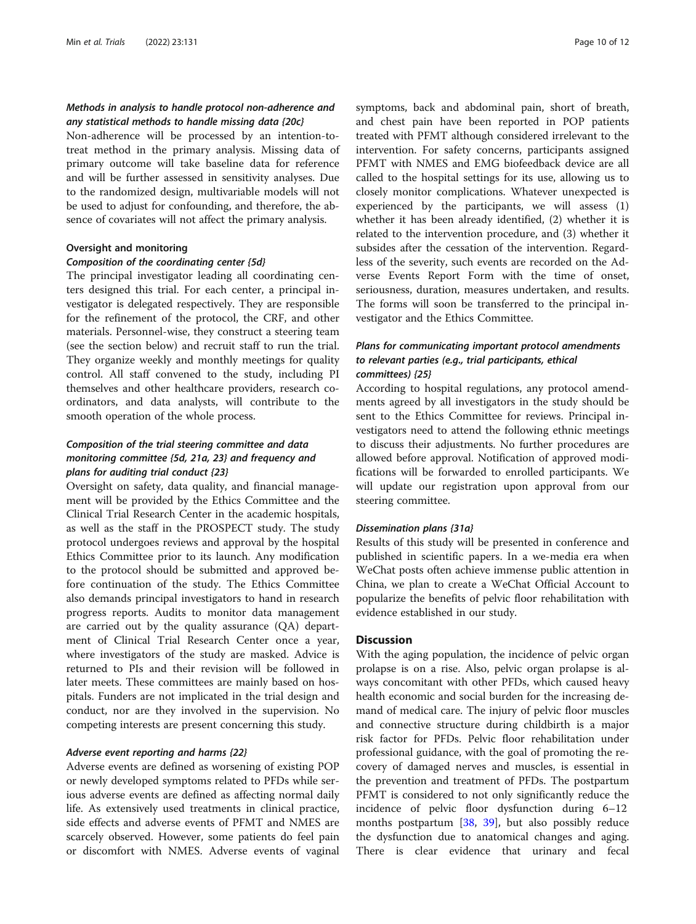# Methods in analysis to handle protocol non-adherence and any statistical methods to handle missing data {20c}

Non-adherence will be processed by an intention-totreat method in the primary analysis. Missing data of primary outcome will take baseline data for reference and will be further assessed in sensitivity analyses. Due to the randomized design, multivariable models will not be used to adjust for confounding, and therefore, the absence of covariates will not affect the primary analysis.

#### Oversight and monitoring

#### Composition of the coordinating center {5d}

The principal investigator leading all coordinating centers designed this trial. For each center, a principal investigator is delegated respectively. They are responsible for the refinement of the protocol, the CRF, and other materials. Personnel-wise, they construct a steering team (see the section below) and recruit staff to run the trial. They organize weekly and monthly meetings for quality control. All staff convened to the study, including PI themselves and other healthcare providers, research coordinators, and data analysts, will contribute to the smooth operation of the whole process.

# Composition of the trial steering committee and data monitoring committee {5d, 21a, 23} and frequency and plans for auditing trial conduct {23}

Oversight on safety, data quality, and financial management will be provided by the Ethics Committee and the Clinical Trial Research Center in the academic hospitals, as well as the staff in the PROSPECT study. The study protocol undergoes reviews and approval by the hospital Ethics Committee prior to its launch. Any modification to the protocol should be submitted and approved before continuation of the study. The Ethics Committee also demands principal investigators to hand in research progress reports. Audits to monitor data management are carried out by the quality assurance (QA) department of Clinical Trial Research Center once a year, where investigators of the study are masked. Advice is returned to PIs and their revision will be followed in later meets. These committees are mainly based on hospitals. Funders are not implicated in the trial design and conduct, nor are they involved in the supervision. No competing interests are present concerning this study.

# Adverse event reporting and harms {22}

Adverse events are defined as worsening of existing POP or newly developed symptoms related to PFDs while serious adverse events are defined as affecting normal daily life. As extensively used treatments in clinical practice, side effects and adverse events of PFMT and NMES are scarcely observed. However, some patients do feel pain or discomfort with NMES. Adverse events of vaginal symptoms, back and abdominal pain, short of breath, and chest pain have been reported in POP patients treated with PFMT although considered irrelevant to the intervention. For safety concerns, participants assigned PFMT with NMES and EMG biofeedback device are all called to the hospital settings for its use, allowing us to closely monitor complications. Whatever unexpected is experienced by the participants, we will assess (1) whether it has been already identified, (2) whether it is related to the intervention procedure, and (3) whether it subsides after the cessation of the intervention. Regardless of the severity, such events are recorded on the Adverse Events Report Form with the time of onset, seriousness, duration, measures undertaken, and results. The forms will soon be transferred to the principal investigator and the Ethics Committee.

# Plans for communicating important protocol amendments to relevant parties (e.g., trial participants, ethical committees) {25}

According to hospital regulations, any protocol amendments agreed by all investigators in the study should be sent to the Ethics Committee for reviews. Principal investigators need to attend the following ethnic meetings to discuss their adjustments. No further procedures are allowed before approval. Notification of approved modifications will be forwarded to enrolled participants. We will update our registration upon approval from our steering committee.

#### Dissemination plans {31a}

Results of this study will be presented in conference and published in scientific papers. In a we-media era when WeChat posts often achieve immense public attention in China, we plan to create a WeChat Official Account to popularize the benefits of pelvic floor rehabilitation with evidence established in our study.

#### **Discussion**

With the aging population, the incidence of pelvic organ prolapse is on a rise. Also, pelvic organ prolapse is always concomitant with other PFDs, which caused heavy health economic and social burden for the increasing demand of medical care. The injury of pelvic floor muscles and connective structure during childbirth is a major risk factor for PFDs. Pelvic floor rehabilitation under professional guidance, with the goal of promoting the recovery of damaged nerves and muscles, is essential in the prevention and treatment of PFDs. The postpartum PFMT is considered to not only significantly reduce the incidence of pelvic floor dysfunction during 6–12 months postpartum [\[38](#page-11-0), [39](#page-11-0)], but also possibly reduce the dysfunction due to anatomical changes and aging. There is clear evidence that urinary and fecal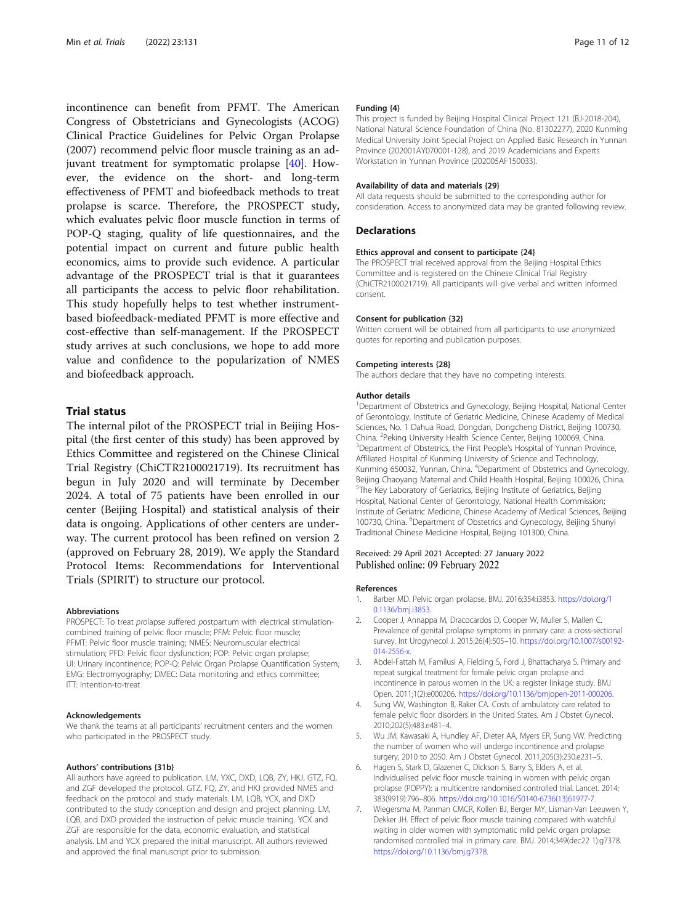<span id="page-10-0"></span>incontinence can benefit from PFMT. The American Congress of Obstetricians and Gynecologists (ACOG) Clinical Practice Guidelines for Pelvic Organ Prolapse (2007) recommend pelvic floor muscle training as an adjuvant treatment for symptomatic prolapse [[40](#page-11-0)]. However, the evidence on the short- and long-term effectiveness of PFMT and biofeedback methods to treat prolapse is scarce. Therefore, the PROSPECT study, which evaluates pelvic floor muscle function in terms of POP-Q staging, quality of life questionnaires, and the potential impact on current and future public health economics, aims to provide such evidence. A particular advantage of the PROSPECT trial is that it guarantees all participants the access to pelvic floor rehabilitation. This study hopefully helps to test whether instrumentbased biofeedback-mediated PFMT is more effective and cost-effective than self-management. If the PROSPECT study arrives at such conclusions, we hope to add more value and confidence to the popularization of NMES and biofeedback approach.

#### Trial status

The internal pilot of the PROSPECT trial in Beijing Hospital (the first center of this study) has been approved by Ethics Committee and registered on the Chinese Clinical Trial Registry (ChiCTR2100021719). Its recruitment has begun in July 2020 and will terminate by December 2024. A total of 75 patients have been enrolled in our center (Beijing Hospital) and statistical analysis of their data is ongoing. Applications of other centers are underway. The current protocol has been refined on version 2 (approved on February 28, 2019). We apply the Standard Protocol Items: Recommendations for Interventional Trials (SPIRIT) to structure our protocol.

#### **Abbreviations**

PROSPECT: To treat prolapse suffered postpartum with electrical stimulationcombined training of pelvic floor muscle; PFM: Pelvic floor muscle; PFMT: Pelvic floor muscle training; NMES: Neuromuscular electrical stimulation; PFD: Pelvic floor dysfunction; POP: Pelvic organ prolapse; UI: Urinary incontinence; POP-Q: Pelvic Organ Prolapse Quantification System; EMG: Electromyography; DMEC: Data monitoring and ethics committee; ITT: Intention-to-treat

#### Acknowledgements

We thank the teams at all participants' recruitment centers and the women who participated in the PROSPECT study.

#### Authors' contributions {31b}

All authors have agreed to publication. LM, YXC, DXD, LQB, ZY, HKJ, GTZ, FQ, and ZGF developed the protocol. GTZ, FQ, ZY, and HKJ provided NMES and feedback on the protocol and study materials. LM, LQB, YCX, and DXD contributed to the study conception and design and project planning. LM, LQB, and DXD provided the instruction of pelvic muscle training. YCX and ZGF are responsible for the data, economic evaluation, and statistical analysis. LM and YCX prepared the initial manuscript. All authors reviewed and approved the final manuscript prior to submission.

#### Funding {4}

This project is funded by Beijing Hospital Clinical Project 121 (BJ-2018-204), National Natural Science Foundation of China (No. 81302277), 2020 Kunming Medical University Joint Special Project on Applied Basic Research in Yunnan Province (202001AY070001-128), and 2019 Academicians and Experts Workstation in Yunnan Province (202005AF150033).

#### Availability of data and materials {29}

All data requests should be submitted to the corresponding author for consideration. Access to anonymized data may be granted following review.

#### **Declarations**

#### Ethics approval and consent to participate {24}

The PROSPECT trial received approval from the Beijing Hospital Ethics Committee and is registered on the Chinese Clinical Trial Registry (ChiCTR2100021719). All participants will give verbal and written informed consent.

#### Consent for publication {32}

Written consent will be obtained from all participants to use anonymized quotes for reporting and publication purposes.

#### Competing interests {28}

The authors declare that they have no competing interests.

#### Author details

<sup>1</sup>Department of Obstetrics and Gynecology, Beijing Hospital, National Center of Gerontology, Institute of Geriatric Medicine, Chinese Academy of Medical Sciences, No. 1 Dahua Road, Dongdan, Dongcheng District, Beijing 100730, China. <sup>2</sup> Peking University Health Science Center, Beijing 100069, China.<br><sup>3</sup> Department of Obstatrics, the First People's Hespital of Yungan Province <sup>3</sup>Department of Obstetrics, the First People's Hospital of Yunnan Province, Affiliated Hospital of Kunming University of Science and Technology, Kunming 650032, Yunnan, China. <sup>4</sup> Department of Obstetrics and Gynecology, Beijing Chaoyang Maternal and Child Health Hospital, Beijing 100026, China. <sup>5</sup>The Key Laboratory of Geriatrics, Beijing Institute of Geriatrics, Beijing Hospital, National Center of Gerontology, National Health Commission; Institute of Geriatric Medicine, Chinese Academy of Medical Sciences, Beijing 100730, China. <sup>6</sup>Department of Obstetrics and Gynecology, Beijing Shunyi Traditional Chinese Medicine Hospital, Beijing 101300, China.

#### Received: 29 April 2021 Accepted: 27 January 2022 Published online: 09 February 2022

#### References

- 1. Barber MD. Pelvic organ prolapse. BMJ. 2016;354:i3853. [https://doi.org/1](https://doi.org/10.1136/bmj.i3853) [0.1136/bmj.i3853.](https://doi.org/10.1136/bmj.i3853)
- 2. Cooper J, Annappa M, Dracocardos D, Cooper W, Muller S, Mallen C. Prevalence of genital prolapse symptoms in primary care: a cross-sectional survey. Int Urogynecol J. 2015;26(4):505–10. [https://doi.org/10.1007/s00192-](https://doi.org/10.1007/s00192-014-2556-x) [014-2556-x.](https://doi.org/10.1007/s00192-014-2556-x)
- 3. Abdel-Fattah M, Familusi A, Fielding S, Ford J, Bhattacharya S. Primary and repeat surgical treatment for female pelvic organ prolapse and incontinence in parous women in the UK: a register linkage study. BMJ Open. 2011;1(2):e000206. <https://doi.org/10.1136/bmjopen-2011-000206>.
- 4. Sung VW, Washington B, Raker CA. Costs of ambulatory care related to female pelvic floor disorders in the United States. Am J Obstet Gynecol. 2010;202(5):483.e481–4.
- 5. Wu JM, Kawasaki A, Hundley AF, Dieter AA, Myers ER, Sung VW. Predicting the number of women who will undergo incontinence and prolapse surgery, 2010 to 2050. Am J Obstet Gynecol. 2011;205(3):230.e231–5.
- 6. Hagen S, Stark D, Glazener C, Dickson S, Barry S, Elders A, et al. Individualised pelvic floor muscle training in women with pelvic organ prolapse (POPPY): a multicentre randomised controlled trial. Lancet. 2014; 383(9919):796–806. [https://doi.org/10.1016/S0140-6736\(13\)61977-7.](https://doi.org/10.1016/S0140-6736(13)61977-7)
- 7. Wiegersma M, Panman CMCR, Kollen BJ, Berger MY, Lisman-Van Leeuwen Y, Dekker JH. Effect of pelvic floor muscle training compared with watchful waiting in older women with symptomatic mild pelvic organ prolapse: randomised controlled trial in primary care. BMJ. 2014;349(dec22 1):g7378. [https://doi.org/10.1136/bmj.g7378.](https://doi.org/10.1136/bmj.g7378)